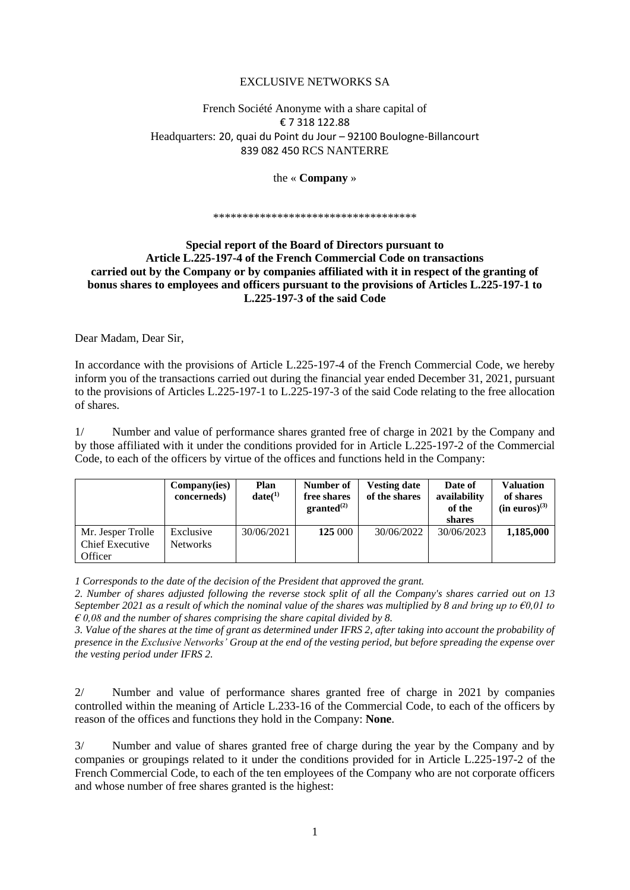## EXCLUSIVE NETWORKS SA

# French Société Anonyme with a share capital of € 7 318 122.88 Headquarters: 20, quai du Point du Jour – 92100 Boulogne-Billancourt 839 082 450 RCS NANTERRE

### the « **Company** »

#### \*\*\*\*\*\*\*\*\*\*\*\*\*\*\*\*\*\*\*\*\*\*\*\*\*\*\*\*\*\*\*\*\*

# **Special report of the Board of Directors pursuant to Article L.225-197-4 of the French Commercial Code on transactions carried out by the Company or by companies affiliated with it in respect of the granting of bonus shares to employees and officers pursuant to the provisions of Articles L.225-197-1 to L.225-197-3 of the said Code**

Dear Madam, Dear Sir,

In accordance with the provisions of Article L.225-197-4 of the French Commercial Code, we hereby inform you of the transactions carried out during the financial year ended December 31, 2021, pursuant to the provisions of Articles L.225-197-1 to L.225-197-3 of the said Code relating to the free allocation of shares.

1/ Number and value of performance shares granted free of charge in 2021 by the Company and by those affiliated with it under the conditions provided for in Article L.225-197-2 of the Commercial Code, to each of the officers by virtue of the offices and functions held in the Company:

|                                                        | Company(ies)<br>concerneds)  | Plan<br>date(1) | Number of<br>free shares<br>granted <sup>(2)</sup> | <b>Vesting date</b><br>of the shares | Date of<br>availability<br>of the<br>shares | <b>Valuation</b><br>of shares<br>$(in euros)^{(3)}$ |
|--------------------------------------------------------|------------------------------|-----------------|----------------------------------------------------|--------------------------------------|---------------------------------------------|-----------------------------------------------------|
| Mr. Jesper Trolle<br><b>Chief Executive</b><br>Officer | Exclusive<br><b>Networks</b> | 30/06/2021      | 125 000                                            | 30/06/2022                           | 30/06/2023                                  | 1,185,000                                           |

*1 Corresponds to the date of the decision of the President that approved the grant.*

*2. Number of shares adjusted following the reverse stock split of all the Company's shares carried out on 13 September 2021 as a result of which the nominal value of the shares was multiplied by 8 and bring up to €0,01 to*   $\hat{\epsilon}$  0,08 and the number of shares comprising the share capital divided by 8.

*3. Value of the shares at the time of grant as determined under IFRS 2, after taking into account the probability of presence in the Exclusive Networks' Group at the end of the vesting period, but before spreading the expense over the vesting period under IFRS 2.* 

2/ Number and value of performance shares granted free of charge in 2021 by companies controlled within the meaning of Article L.233-16 of the Commercial Code, to each of the officers by reason of the offices and functions they hold in the Company: **None**.

3/ Number and value of shares granted free of charge during the year by the Company and by companies or groupings related to it under the conditions provided for in Article L.225-197-2 of the French Commercial Code, to each of the ten employees of the Company who are not corporate officers and whose number of free shares granted is the highest: